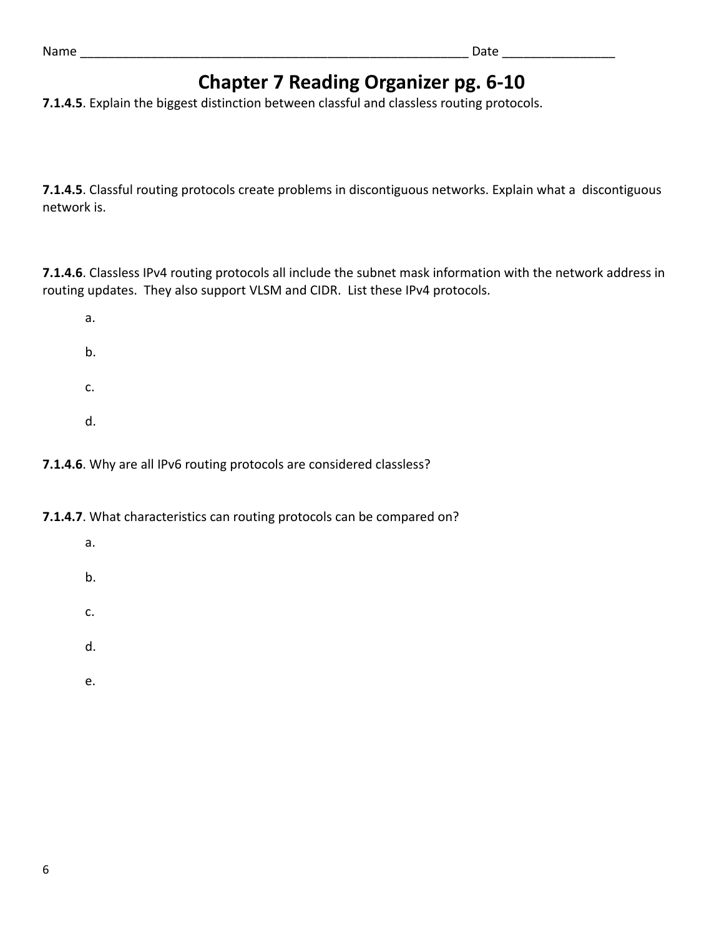# **Chapter 7 Reading Organizer pg. 6‐10**

**7.1.4.5**. Explain the biggest distinction between classful and classless routing protocols.

**7.1.4.5**. Classful routing protocols create problems in discontiguous networks. Explain what a discontiguous network is.

**7.1.4.6**. Classless IPv4 routing protocols all include the subnet mask information with the network address in routing updates. They also support VLSM and CIDR. List these IPv4 protocols.

a. b. c. d.

## **7.1.4.6**. Why are all IPv6 routing protocols are considered classless?

**7.1.4.7**. What characteristics can routing protocols can be compared on?

- a.
- b.
- c.
- 
- d.
- e.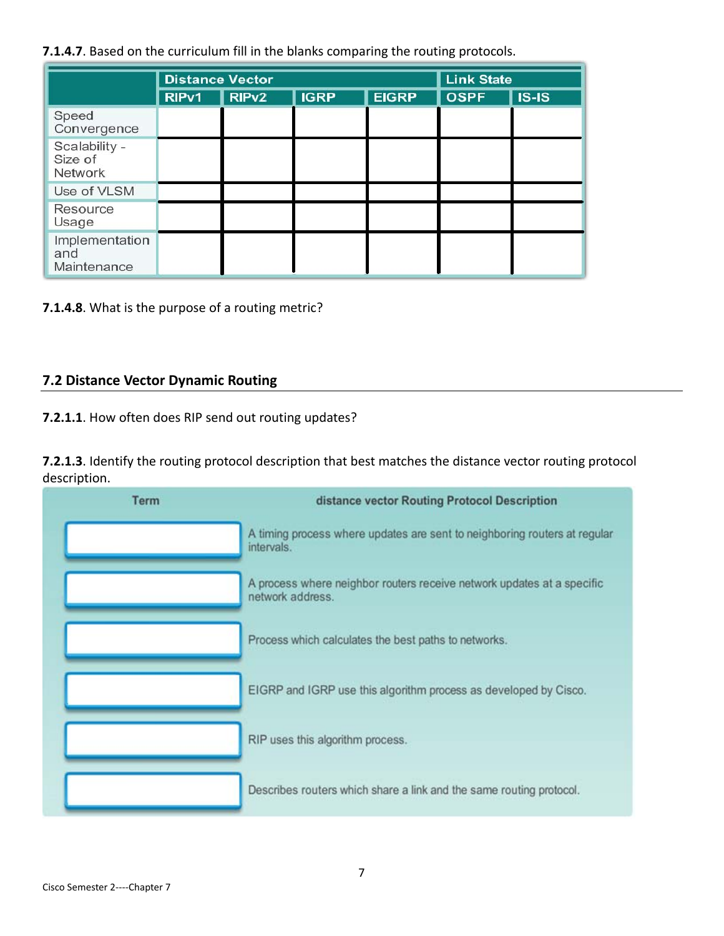**7.1.4.7**. Based on the curriculum fill in the blanks comparing the routing protocols.

|                                      | <b>Distance Vector</b> |                   |             |              | <b>Link State</b> |         |
|--------------------------------------|------------------------|-------------------|-------------|--------------|-------------------|---------|
|                                      | RIP <sub>v1</sub>      | RIP <sub>v2</sub> | <b>IGRP</b> | <b>EIGRP</b> | <b>OSPF</b>       | $IS-IS$ |
| Speed<br>Convergence                 |                        |                   |             |              |                   |         |
| Scalability -<br>Size of<br>Network  |                        |                   |             |              |                   |         |
| Use of VLSM                          |                        |                   |             |              |                   |         |
| Resource<br>Usage                    |                        |                   |             |              |                   |         |
| Implementation<br>and<br>Maintenance |                        |                   |             |              |                   |         |

**7.1.4.8**. What is the purpose of a routing metric?

### **7.2 Distance Vector Dynamic Routing**

**7.2.1.1**. How often does RIP send out routing updates?

**7.2.1.3**. Identify the routing protocol description that best matches the distance vector routing protocol description.

| <b>Term</b> | distance vector Routing Protocol Description                                               |  |  |
|-------------|--------------------------------------------------------------------------------------------|--|--|
|             | A timing process where updates are sent to neighboring routers at regular<br>intervals.    |  |  |
|             | A process where neighbor routers receive network updates at a specific<br>network address. |  |  |
|             | Process which calculates the best paths to networks.                                       |  |  |
|             | EIGRP and IGRP use this algorithm process as developed by Cisco.                           |  |  |
|             | RIP uses this algorithm process.                                                           |  |  |
|             | Describes routers which share a link and the same routing protocol.                        |  |  |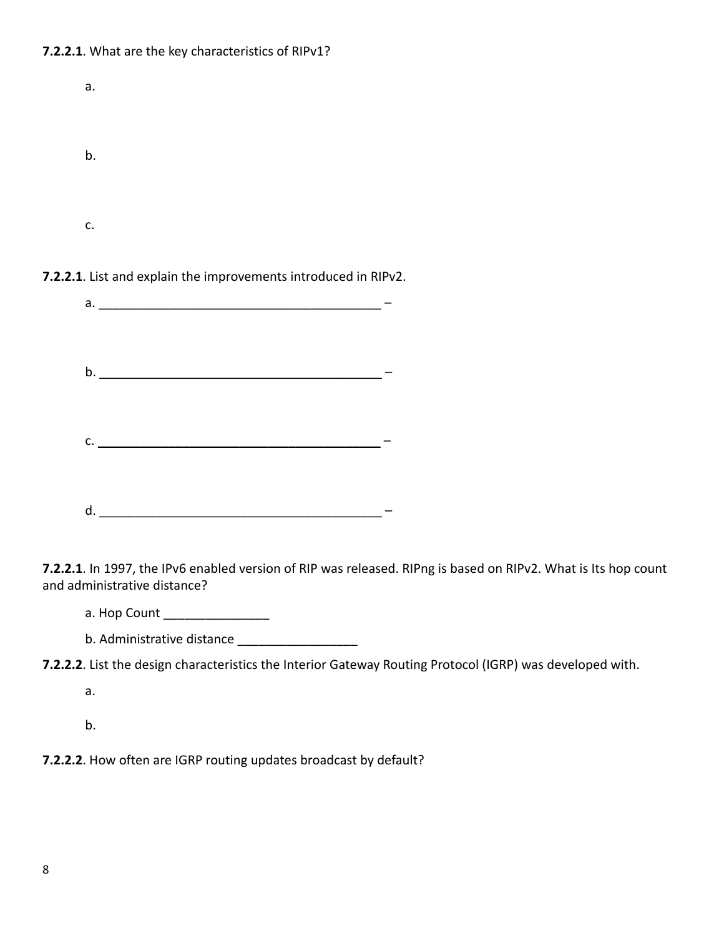#### **7.2.2.1**. What are the key characteristics of RIPv1?

| a. |  |  |  |
|----|--|--|--|
|    |  |  |  |
| b. |  |  |  |
|    |  |  |  |
|    |  |  |  |
| c. |  |  |  |

**7.2.2.1**. List and explain the improvements introduced in RIPv2.

|    | a. <u>________________________</u> |  |
|----|------------------------------------|--|
|    |                                    |  |
|    |                                    |  |
|    |                                    |  |
|    |                                    |  |
|    | b.                                 |  |
|    |                                    |  |
|    |                                    |  |
|    |                                    |  |
|    | $c.$ $\overline{\phantom{a}}$      |  |
|    |                                    |  |
|    |                                    |  |
|    |                                    |  |
| d. |                                    |  |
|    |                                    |  |

**7.2.2.1**. In 1997, the IPv6 enabled version of RIP was released. RIPng is based on RIPv2. What is Its hop count and administrative distance?

a. Hop Count \_\_\_\_\_\_\_\_\_\_\_\_\_\_\_

b. Administrative distance \_\_\_\_\_\_\_\_\_\_\_\_\_\_\_\_\_

**7.2.2.2**. List the design characteristics the Interior Gateway Routing Protocol (IGRP) was developed with.

a.

b.

**7.2.2.2**. How often are IGRP routing updates broadcast by default?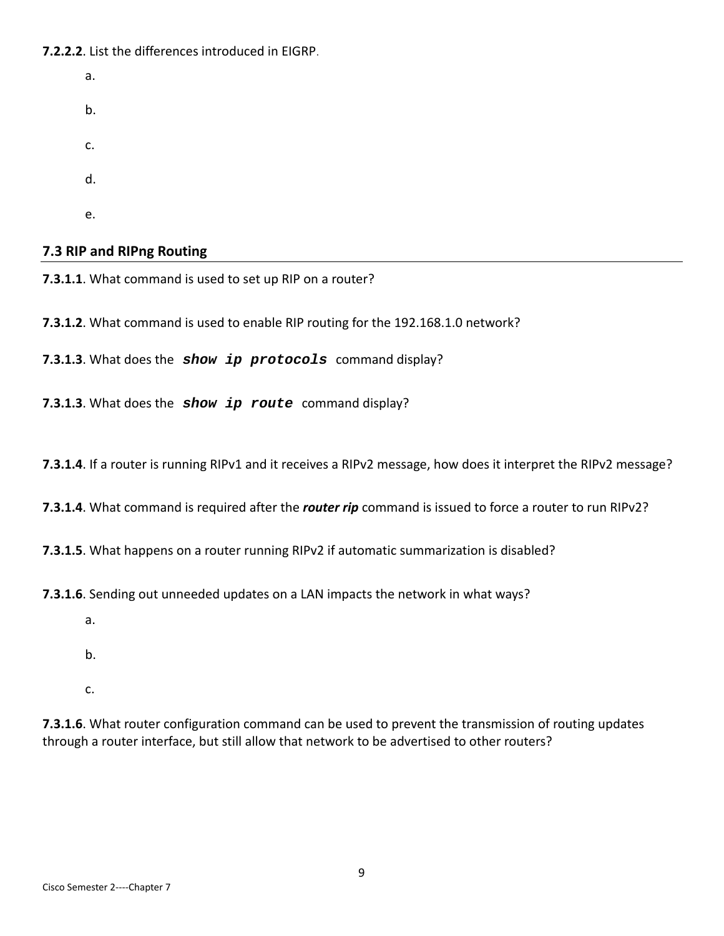**7.2.2.2**. List the differences introduced in EIGRP.

a. b. c. d. e.

**7.3 RIP and RIPng Routing**

**7.3.1.1**. What command is used to set up RIP on a router?

**7.3.1.2**. What command is used to enable RIP routing for the 192.168.1.0 network?

**7.3.1.3**. What does the *show ip protocols* command display?

**7.3.1.3**. What does the *show ip route* command display?

**7.3.1.4**. If a router is running RIPv1 and it receives a RIPv2 message, how does it interpret the RIPv2 message?

**7.3.1.4**. What command is required after the *router rip* command is issued to force a router to run RIPv2?

**7.3.1.5**. What happens on a router running RIPv2 if automatic summarization is disabled?

**7.3.1.6**. Sending out unneeded updates on a LAN impacts the network in what ways?

- a.
- b.
- c.

**7.3.1.6**. What router configuration command can be used to prevent the transmission of routing updates through a router interface, but still allow that network to be advertised to other routers?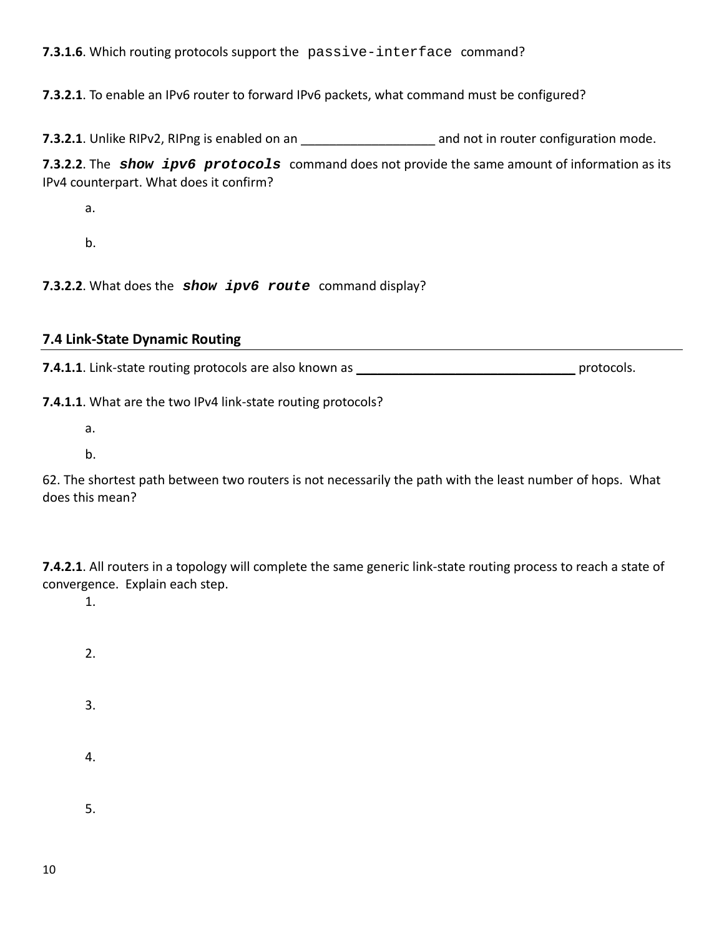## **7.3.1.6**. Which routing protocols support the passive-interface command?

**7.3.2.1**. To enable an IPv6 router to forward IPv6 packets, what command must be configured?

**7.3.2.1**. Unlike RIPv2, RIPng is enabled on an *n* and not in router configuration mode.

**7.3.2.2**. The *show ipv6 protocols* command does not provide the same amount of information as its IPv4 counterpart. What does it confirm?

a.

b.

**7.3.2.2**. What does the *show ipv6 route* command display?

#### **7.4 Link‐State Dynamic Routing**

**7.4.1.1**. Link‐state routing protocols are also known as \_\_\_\_\_\_\_\_\_\_\_\_\_\_\_\_\_\_\_\_\_\_\_\_\_\_\_\_\_\_\_ protocols.

**7.4.1.1**. What are the two IPv4 link‐state routing protocols?

- a.
- b.

62. The shortest path between two routers is not necessarily the path with the least number of hops. What does this mean?

**7.4.2.1**. All routers in a topology will complete the same generic link‐state routing process to reach a state of convergence. Explain each step.

1.

- 2.
- 3.
- 4.
- 5.